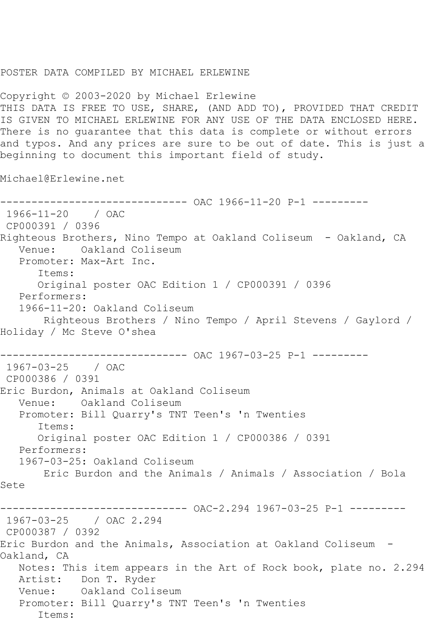## POSTER DATA COMPILED BY MICHAEL ERLEWINE

Copyright © 2003-2020 by Michael Erlewine THIS DATA IS FREE TO USE, SHARE, (AND ADD TO), PROVIDED THAT CREDIT IS GIVEN TO MICHAEL ERLEWINE FOR ANY USE OF THE DATA ENCLOSED HERE. There is no guarantee that this data is complete or without errors and typos. And any prices are sure to be out of date. This is just a beginning to document this important field of study.

Michael@Erlewine.net

------------------------------ OAC 1966-11-20 P-1 --------- 1966-11-20 / OAC CP000391 / 0396 Righteous Brothers, Nino Tempo at Oakland Coliseum - Oakland, CA Venue: Oakland Coliseum Promoter: Max-Art Inc. Items: Original poster OAC Edition 1 / CP000391 / 0396 Performers: 1966-11-20: Oakland Coliseum Righteous Brothers / Nino Tempo / April Stevens / Gaylord / Holiday / Mc Steve O'shea ----------- OAC 1967-03-25 P-1 ---------1967-03-25 / OAC CP000386 / 0391 Eric Burdon, Animals at Oakland Coliseum Venue: Oakland Coliseum Promoter: Bill Quarry's TNT Teen's 'n Twenties Items: Original poster OAC Edition 1 / CP000386 / 0391 Performers: 1967-03-25: Oakland Coliseum Eric Burdon and the Animals / Animals / Association / Bola Sete ---------- OAC-2.294 1967-03-25 P-1 ---------1967-03-25 / OAC 2.294 CP000387 / 0392 Eric Burdon and the Animals, Association at Oakland Coliseum - Oakland, CA Notes: This item appears in the Art of Rock book, plate no. 2.294 Artist: Don T. Ryder Venue: Oakland Coliseum Promoter: Bill Quarry's TNT Teen's 'n Twenties Items: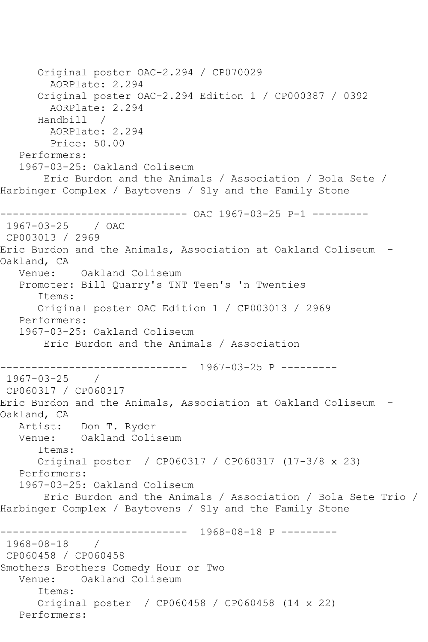Original poster OAC-2.294 / CP070029 AORPlate: 2.294 Original poster OAC-2.294 Edition 1 / CP000387 / 0392 AORPlate: 2.294 Handbill / AORPlate: 2.294 Price: 50.00 Performers: 1967-03-25: Oakland Coliseum Eric Burdon and the Animals / Association / Bola Sete / Harbinger Complex / Baytovens / Sly and the Family Stone ------------------------------ OAC 1967-03-25 P-1 --------- 1967-03-25 / OAC CP003013 / 2969 Eric Burdon and the Animals, Association at Oakland Coliseum - Oakland, CA Venue: Oakland Coliseum Promoter: Bill Quarry's TNT Teen's 'n Twenties Items: Original poster OAC Edition 1 / CP003013 / 2969 Performers: 1967-03-25: Oakland Coliseum Eric Burdon and the Animals / Association ------------------------------ 1967-03-25 P --------- 1967-03-25 / CP060317 / CP060317 Eric Burdon and the Animals, Association at Oakland Coliseum - Oakland, CA Artist: Don T. Ryder Venue: Oakland Coliseum Items: Original poster / CP060317 / CP060317 (17-3/8 x 23) Performers: 1967-03-25: Oakland Coliseum Eric Burdon and the Animals / Association / Bola Sete Trio / Harbinger Complex / Baytovens / Sly and the Family Stone ------------------------------ 1968-08-18 P --------- 1968-08-18 / CP060458 / CP060458 Smothers Brothers Comedy Hour or Two Venue: Oakland Coliseum Items: Original poster / CP060458 / CP060458 (14 x 22) Performers: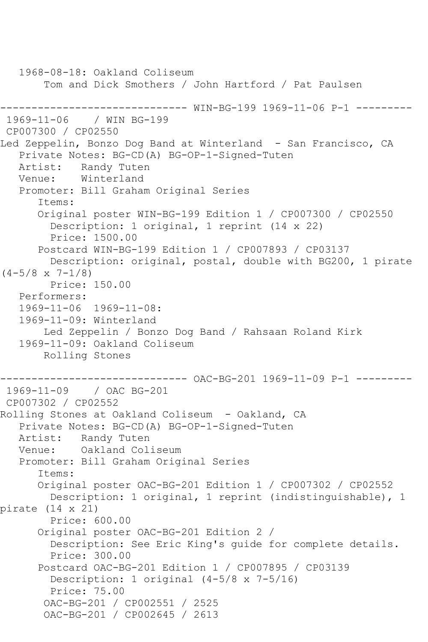```
 1968-08-18: Oakland Coliseum
        Tom and Dick Smothers / John Hartford / Pat Paulsen
------------------------------ WIN-BG-199 1969-11-06 P-1 ---------
1969-11-06 / WIN BG-199
CP007300 / CP02550
Led Zeppelin, Bonzo Dog Band at Winterland - San Francisco, CA
    Private Notes: BG-CD(A) BG-OP-1-Signed-Tuten
   Artist: Randy Tuten
   Venue: Winterland
    Promoter: Bill Graham Original Series
       Items:
       Original poster WIN-BG-199 Edition 1 / CP007300 / CP02550
         Description: 1 original, 1 reprint (14 x 22)
         Price: 1500.00
       Postcard WIN-BG-199 Edition 1 / CP007893 / CP03137
         Description: original, postal, double with BG200, 1 pirate 
(4-5/8 \times 7-1/8) Price: 150.00
   Performers:
    1969-11-06 1969-11-08:
    1969-11-09: Winterland
        Led Zeppelin / Bonzo Dog Band / Rahsaan Roland Kirk
    1969-11-09: Oakland Coliseum
        Rolling Stones
------------------------------ OAC-BG-201 1969-11-09 P-1 ---------
1969-11-09 / OAC BG-201
CP007302 / CP02552
Rolling Stones at Oakland Coliseum - Oakland, CA
   Private Notes: BG-CD(A) BG-OP-1-Signed-Tuten
  Artist: Randy Tuten<br>Venue: Oakland Col
           Oakland Coliseum
   Promoter: Bill Graham Original Series
       Items:
       Original poster OAC-BG-201 Edition 1 / CP007302 / CP02552
         Description: 1 original, 1 reprint (indistinguishable), 1 
pirate (14 x 21)
         Price: 600.00
       Original poster OAC-BG-201 Edition 2 / 
         Description: See Eric King's guide for complete details.
         Price: 300.00
       Postcard OAC-BG-201 Edition 1 / CP007895 / CP03139
         Description: 1 original (4-5/8 x 7-5/16)
         Price: 75.00
        OAC-BG-201 / CP002551 / 2525
        OAC-BG-201 / CP002645 / 2613
```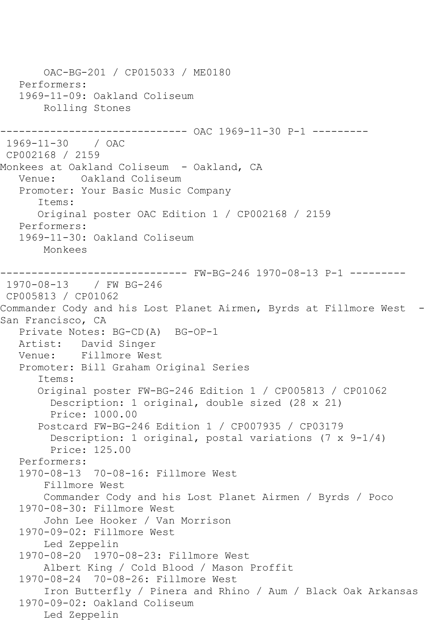OAC-BG-201 / CP015033 / ME0180 Performers: 1969-11-09: Oakland Coliseum Rolling Stones ------------------------------ OAC 1969-11-30 P-1 --------- 1969-11-30 / OAC CP002168 / 2159 Monkees at Oakland Coliseum - Oakland, CA Venue: Oakland Coliseum Promoter: Your Basic Music Company Items: Original poster OAC Edition 1 / CP002168 / 2159 Performers: 1969-11-30: Oakland Coliseum Monkees ------------------------------ FW-BG-246 1970-08-13 P-1 --------- 1970-08-13 / FW BG-246 CP005813 / CP01062 Commander Cody and his Lost Planet Airmen, Byrds at Fillmore West -San Francisco, CA Private Notes: BG-CD(A) BG-OP-1 Artist: David Singer Venue: Fillmore West Promoter: Bill Graham Original Series Items: Original poster FW-BG-246 Edition 1 / CP005813 / CP01062 Description: 1 original, double sized (28 x 21) Price: 1000.00 Postcard FW-BG-246 Edition 1 / CP007935 / CP03179 Description: 1 original, postal variations (7 x 9-1/4) Price: 125.00 Performers: 1970-08-13 70-08-16: Fillmore West Fillmore West Commander Cody and his Lost Planet Airmen / Byrds / Poco 1970-08-30: Fillmore West John Lee Hooker / Van Morrison 1970-09-02: Fillmore West Led Zeppelin 1970-08-20 1970-08-23: Fillmore West Albert King / Cold Blood / Mason Proffit 1970-08-24 70-08-26: Fillmore West Iron Butterfly / Pinera and Rhino / Aum / Black Oak Arkansas 1970-09-02: Oakland Coliseum Led Zeppelin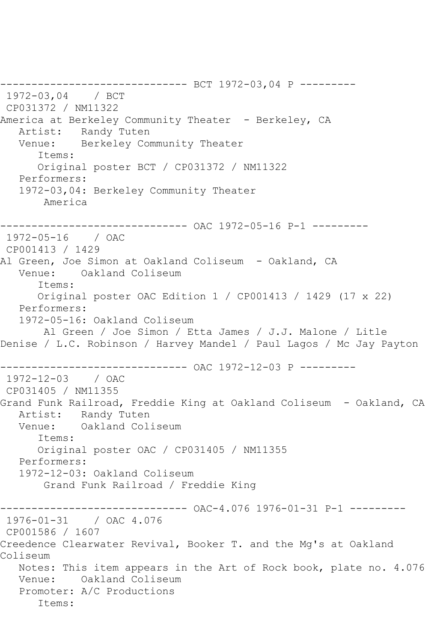------------------------------ BCT 1972-03,04 P --------- 1972-03,04 / BCT CP031372 / NM11322 America at Berkeley Community Theater - Berkeley, CA Artist: Randy Tuten<br>Venue: Berkelev Cor Berkeley Community Theater Items: Original poster BCT / CP031372 / NM11322 Performers: 1972-03,04: Berkeley Community Theater America ------------------------------ OAC 1972-05-16 P-1 --------- 1972-05-16 / OAC CP001413 / 1429 Al Green, Joe Simon at Oakland Coliseum - Oakland, CA Venue: Oakland Coliseum Items: Original poster OAC Edition 1 / CP001413 / 1429 (17 x 22) Performers: 1972-05-16: Oakland Coliseum Al Green / Joe Simon / Etta James / J.J. Malone / Litle Denise / L.C. Robinson / Harvey Mandel / Paul Lagos / Mc Jay Payton ------------------------------ OAC 1972-12-03 P --------- 1972-12-03 / OAC CP031405 / NM11355 Grand Funk Railroad, Freddie King at Oakland Coliseum - Oakland, CA Artist: Randy Tuten<br>Venue: Oakland Col Oakland Coliseum Items: Original poster OAC / CP031405 / NM11355 Performers: 1972-12-03: Oakland Coliseum Grand Funk Railroad / Freddie King ------------------------------ OAC-4.076 1976-01-31 P-1 --------- 1976-01-31 / OAC 4.076 CP001586 / 1607 Creedence Clearwater Revival, Booker T. and the Mg's at Oakland Coliseum Notes: This item appears in the Art of Rock book, plate no. 4.076 Venue: Oakland Coliseum Promoter: A/C Productions Items: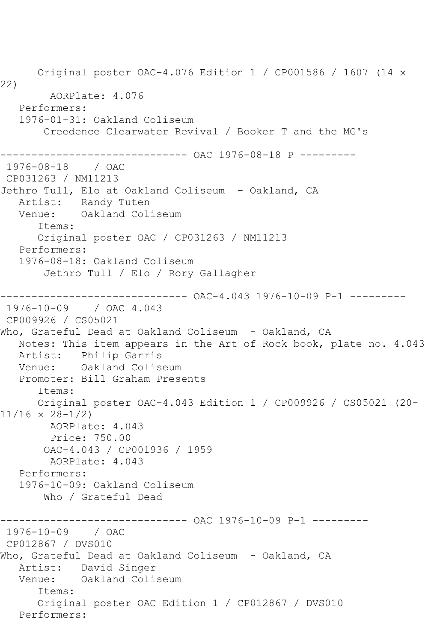Original poster OAC-4.076 Edition 1 / CP001586 / 1607 (14 x 22) AORPlate: 4.076 Performers: 1976-01-31: Oakland Coliseum Creedence Clearwater Revival / Booker T and the MG's ------------------------------ OAC 1976-08-18 P --------- 1976-08-18 / OAC CP031263 / NM11213 Jethro Tull, Elo at Oakland Coliseum - Oakland, CA Artist: Randy Tuten<br>Venue: Oakland Col Oakland Coliseum Items: Original poster OAC / CP031263 / NM11213 Performers: 1976-08-18: Oakland Coliseum Jethro Tull / Elo / Rory Gallagher ------------------------------ OAC-4.043 1976-10-09 P-1 --------- 1976-10-09 / OAC 4.043 CP009926 / CS05021 Who, Grateful Dead at Oakland Coliseum - Oakland, CA Notes: This item appears in the Art of Rock book, plate no. 4.043 Artist: Philip Garris<br>Venue: Oakland Colis Oakland Coliseum Promoter: Bill Graham Presents Items: Original poster OAC-4.043 Edition 1 / CP009926 / CS05021 (20- 11/16 x 28-1/2) AORPlate: 4.043 Price: 750.00 OAC-4.043 / CP001936 / 1959 AORPlate: 4.043 Performers: 1976-10-09: Oakland Coliseum Who / Grateful Dead ------------------------------ OAC 1976-10-09 P-1 --------- 1976-10-09 / OAC CP012867 / DVS010 Who, Grateful Dead at Oakland Coliseum - Oakland, CA Artist: David Singer Venue: Oakland Coliseum Items: Original poster OAC Edition 1 / CP012867 / DVS010 Performers: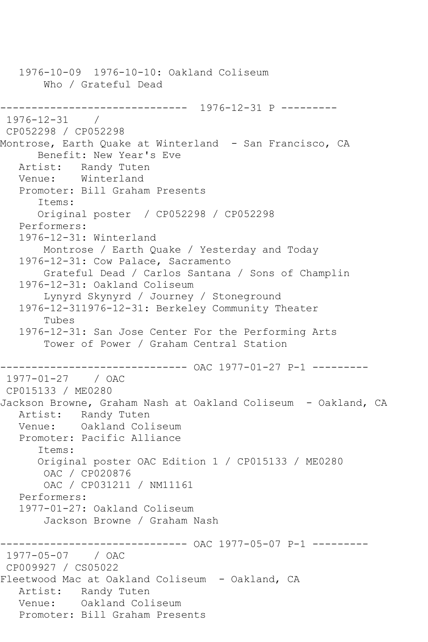1976-10-09 1976-10-10: Oakland Coliseum Who / Grateful Dead ------------------------------ 1976-12-31 P --------- 1976-12-31 / CP052298 / CP052298 Montrose, Earth Quake at Winterland - San Francisco, CA Benefit: New Year's Eve Artist: Randy Tuten Venue: Winterland Promoter: Bill Graham Presents Items: Original poster / CP052298 / CP052298 Performers: 1976-12-31: Winterland Montrose / Earth Quake / Yesterday and Today 1976-12-31: Cow Palace, Sacramento Grateful Dead / Carlos Santana / Sons of Champlin 1976-12-31: Oakland Coliseum Lynyrd Skynyrd / Journey / Stoneground 1976-12-311976-12-31: Berkeley Community Theater Tubes 1976-12-31: San Jose Center For the Performing Arts Tower of Power / Graham Central Station ------------------------------ OAC 1977-01-27 P-1 --------- 1977-01-27 / OAC CP015133 / ME0280 Jackson Browne, Graham Nash at Oakland Coliseum - Oakland, CA Artist: Randy Tuten Venue: Oakland Coliseum Promoter: Pacific Alliance Items: Original poster OAC Edition 1 / CP015133 / ME0280 OAC / CP020876 OAC / CP031211 / NM11161 Performers: 1977-01-27: Oakland Coliseum Jackson Browne / Graham Nash ----------- OAC 1977-05-07 P-1 ---------1977-05-07 / OAC CP009927 / CS05022 Fleetwood Mac at Oakland Coliseum - Oakland, CA Artist: Randy Tuten Venue: Oakland Coliseum Promoter: Bill Graham Presents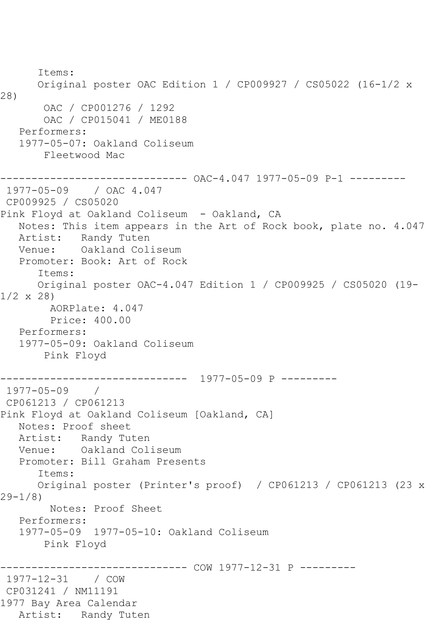Items: Original poster OAC Edition 1 / CP009927 / CS05022 (16-1/2 x 28) OAC / CP001276 / 1292 OAC / CP015041 / ME0188 Performers: 1977-05-07: Oakland Coliseum Fleetwood Mac ------------------------------ OAC-4.047 1977-05-09 P-1 --------- 1977-05-09 / OAC 4.047 CP009925 / CS05020 Pink Floyd at Oakland Coliseum - Oakland, CA Notes: This item appears in the Art of Rock book, plate no. 4.047 Artist: Randy Tuten Venue: Oakland Coliseum Promoter: Book: Art of Rock Items: Original poster OAC-4.047 Edition 1 / CP009925 / CS05020 (19-  $1/2 \times 28$  AORPlate: 4.047 Price: 400.00 Performers: 1977-05-09: Oakland Coliseum Pink Floyd ------------------------------ 1977-05-09 P --------- 1977-05-09 / CP061213 / CP061213 Pink Floyd at Oakland Coliseum [Oakland, CA] Notes: Proof sheet Artist: Randy Tuten Venue: Oakland Coliseum Promoter: Bill Graham Presents Items: Original poster (Printer's proof) / CP061213 / CP061213 (23 x 29-1/8) Notes: Proof Sheet Performers: 1977-05-09 1977-05-10: Oakland Coliseum Pink Floyd ------------- COW 1977-12-31 P ---------1977-12-31 / COW CP031241 / NM11191 1977 Bay Area Calendar Artist: Randy Tuten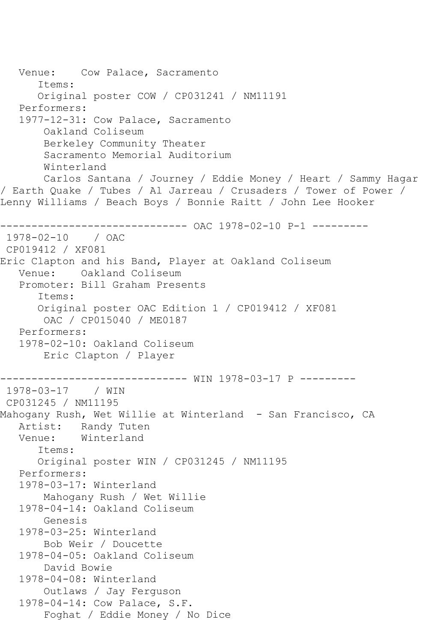Venue: Cow Palace, Sacramento Items: Original poster COW / CP031241 / NM11191 Performers: 1977-12-31: Cow Palace, Sacramento Oakland Coliseum Berkeley Community Theater Sacramento Memorial Auditorium Winterland Carlos Santana / Journey / Eddie Money / Heart / Sammy Hagar / Earth Quake / Tubes / Al Jarreau / Crusaders / Tower of Power / Lenny Williams / Beach Boys / Bonnie Raitt / John Lee Hooker ------------------------------ OAC 1978-02-10 P-1 --------- 1978-02-10 / OAC CP019412 / XF081 Eric Clapton and his Band, Player at Oakland Coliseum Venue: Oakland Coliseum Promoter: Bill Graham Presents Items: Original poster OAC Edition 1 / CP019412 / XF081 OAC / CP015040 / ME0187 Performers: 1978-02-10: Oakland Coliseum Eric Clapton / Player ------------------------------ WIN 1978-03-17 P --------- 1978-03-17 / WIN CP031245 / NM11195 Mahogany Rush, Wet Willie at Winterland - San Francisco, CA Artist: Randy Tuten<br>Venue: Winterland Winterland Items: Original poster WIN / CP031245 / NM11195 Performers: 1978-03-17: Winterland Mahogany Rush / Wet Willie 1978-04-14: Oakland Coliseum Genesis 1978-03-25: Winterland Bob Weir / Doucette 1978-04-05: Oakland Coliseum David Bowie 1978-04-08: Winterland Outlaws / Jay Ferguson 1978-04-14: Cow Palace, S.F. Foghat / Eddie Money / No Dice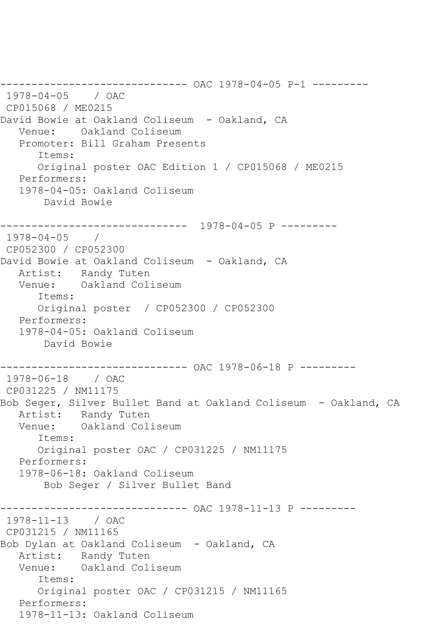```
------------------------------ OAC 1978-04-05 P-1 ---------
1978-04-05 / OAC 
CP015068 / ME0215
David Bowie at Oakland Coliseum - Oakland, CA
   Venue: Oakland Coliseum
   Promoter: Bill Graham Presents
       Items:
      Original poster OAC Edition 1 / CP015068 / ME0215
   Performers:
   1978-04-05: Oakland Coliseum
        David Bowie
------------------------------ 1978-04-05 P ---------
1978-04-05 / 
CP052300 / CP052300
David Bowie at Oakland Coliseum - Oakland, CA
   Artist: Randy Tuten
   Venue: Oakland Coliseum
       Items:
      Original poster / CP052300 / CP052300
   Performers:
   1978-04-05: Oakland Coliseum
       David Bowie
------------------------------ OAC 1978-06-18 P ---------
1978-06-18 / OAC 
CP031225 / NM11175
Bob Seger, Silver Bullet Band at Oakland Coliseum - Oakland, CA
   Artist: Randy Tuten
   Venue: Oakland Coliseum
       Items:
       Original poster OAC / CP031225 / NM11175
   Performers:
   1978-06-18: Oakland Coliseum
        Bob Seger / Silver Bullet Band
                    ------------------------------ OAC 1978-11-13 P ---------
1978-11-13 / OAC 
CP031215 / NM11165
Bob Dylan at Oakland Coliseum - Oakland, CA
   Artist: Randy Tuten
   Venue: Oakland Coliseum
       Items:
      Original poster OAC / CP031215 / NM11165
   Performers:
   1978-11-13: Oakland Coliseum
```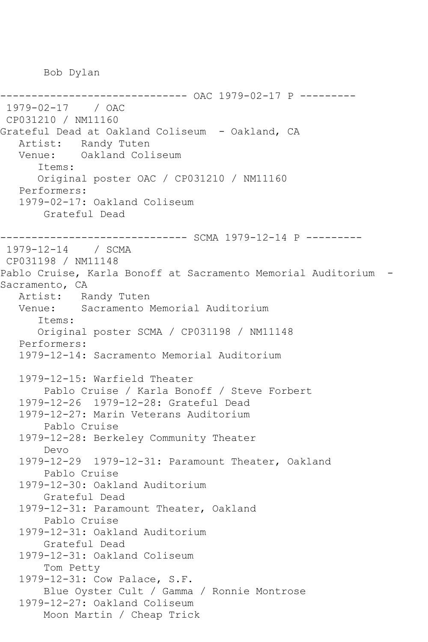Bob Dylan

---------------- OAC 1979-02-17 P ---------1979-02-17 / OAC CP031210 / NM11160 Grateful Dead at Oakland Coliseum - Oakland, CA Artist: Randy Tuten<br>Venue: Oakland Col Oakland Coliseum Items: Original poster OAC / CP031210 / NM11160 Performers: 1979-02-17: Oakland Coliseum Grateful Dead ------------------------------ SCMA 1979-12-14 P --------- 1979-12-14 / SCMA CP031198 / NM11148 Pablo Cruise, Karla Bonoff at Sacramento Memorial Auditorium - Sacramento, CA Artist: Randy Tuten Venue: Sacramento Memorial Auditorium Items: Original poster SCMA / CP031198 / NM11148 Performers: 1979-12-14: Sacramento Memorial Auditorium 1979-12-15: Warfield Theater Pablo Cruise / Karla Bonoff / Steve Forbert 1979-12-26 1979-12-28: Grateful Dead 1979-12-27: Marin Veterans Auditorium Pablo Cruise 1979-12-28: Berkeley Community Theater Devo 1979-12-29 1979-12-31: Paramount Theater, Oakland Pablo Cruise 1979-12-30: Oakland Auditorium Grateful Dead 1979-12-31: Paramount Theater, Oakland Pablo Cruise 1979-12-31: Oakland Auditorium Grateful Dead 1979-12-31: Oakland Coliseum Tom Petty 1979-12-31: Cow Palace, S.F. Blue Oyster Cult / Gamma / Ronnie Montrose 1979-12-27: Oakland Coliseum Moon Martin / Cheap Trick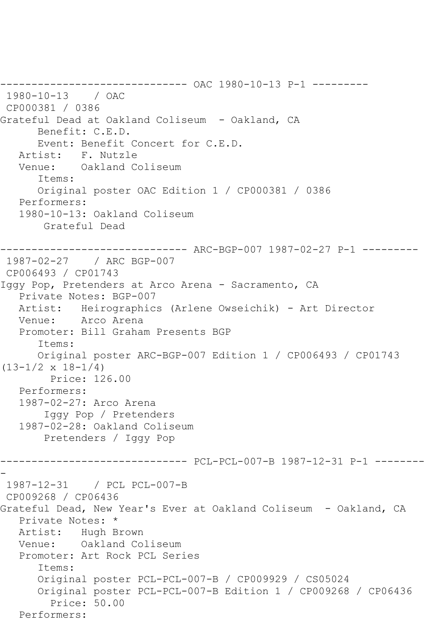------------------------------ OAC 1980-10-13 P-1 --------- 1980-10-13 / OAC CP000381 / 0386 Grateful Dead at Oakland Coliseum - Oakland, CA Benefit: C.E.D. Event: Benefit Concert for C.E.D. Artist: F. Nutzle Venue: Oakland Coliseum Items: Original poster OAC Edition 1 / CP000381 / 0386 Performers: 1980-10-13: Oakland Coliseum Grateful Dead ------------------------------ ARC-BGP-007 1987-02-27 P-1 --------- 1987-02-27 / ARC BGP-007 CP006493 / CP01743 Iggy Pop, Pretenders at Arco Arena - Sacramento, CA Private Notes: BGP-007 Artist: Heirographics (Arlene Owseichik) - Art Director Venue: Arco Arena Promoter: Bill Graham Presents BGP Items: Original poster ARC-BGP-007 Edition 1 / CP006493 / CP01743  $(13-1/2 \times 18-1/4)$  Price: 126.00 Performers: 1987-02-27: Arco Arena Iggy Pop / Pretenders 1987-02-28: Oakland Coliseum Pretenders / Iggy Pop ------------------------------ PCL-PCL-007-B 1987-12-31 P-1 -------- - 1987-12-31 / PCL PCL-007-B CP009268 / CP06436 Grateful Dead, New Year's Ever at Oakland Coliseum - Oakland, CA Private Notes: \* Artist: Hugh Brown Venue: Oakland Coliseum Promoter: Art Rock PCL Series Items: Original poster PCL-PCL-007-B / CP009929 / CS05024 Original poster PCL-PCL-007-B Edition 1 / CP009268 / CP06436 Price: 50.00 Performers: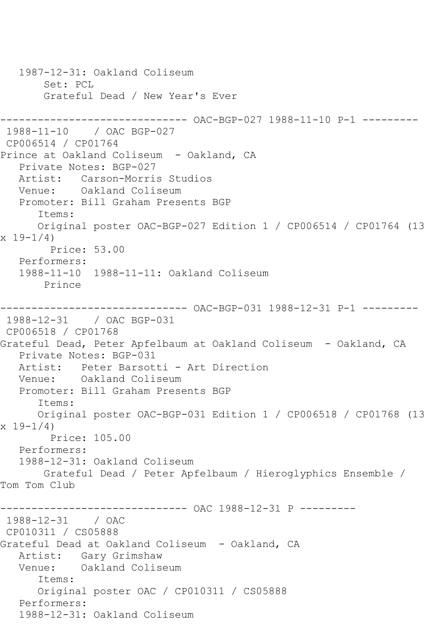```
 1987-12-31: Oakland Coliseum
        Set: PCL
       Grateful Dead / New Year's Ever
------------------------------ OAC-BGP-027 1988-11-10 P-1 ---------
1988-11-10 / OAC BGP-027
CP006514 / CP01764
Prince at Oakland Coliseum - Oakland, CA
   Private Notes: BGP-027
   Artist: Carson-Morris Studios
   Venue: Oakland Coliseum
   Promoter: Bill Graham Presents BGP
      Items:
      Original poster OAC-BGP-027 Edition 1 / CP006514 / CP01764 (13 
x 19-1/4)
        Price: 53.00
   Performers:
   1988-11-10 1988-11-11: Oakland Coliseum
       Prince
------------------------------ OAC-BGP-031 1988-12-31 P-1 ---------
1988-12-31 / OAC BGP-031
CP006518 / CP01768
Grateful Dead, Peter Apfelbaum at Oakland Coliseum - Oakland, CA
   Private Notes: BGP-031
   Artist: Peter Barsotti - Art Direction
   Venue: Oakland Coliseum
   Promoter: Bill Graham Presents BGP
      Items:
      Original poster OAC-BGP-031 Edition 1 / CP006518 / CP01768 (13 
x 19-1/4)
        Price: 105.00
   Performers:
   1988-12-31: Oakland Coliseum
       Grateful Dead / Peter Apfelbaum / Hieroglyphics Ensemble / 
Tom Tom Club
                   ----------- OAC 1988-12-31 P ----------
1988-12-31 / OAC 
CP010311 / CS05888
Grateful Dead at Oakland Coliseum - Oakland, CA
   Artist: Gary Grimshaw
   Venue: Oakland Coliseum
      Items:
      Original poster OAC / CP010311 / CS05888
   Performers:
   1988-12-31: Oakland Coliseum
```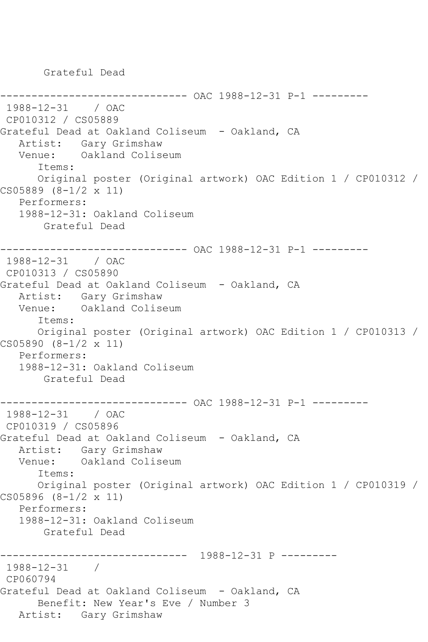Grateful Dead

```
----------- OAC 1988-12-31 P-1 ---------
1988-12-31 / OAC 
CP010312 / CS05889
Grateful Dead at Oakland Coliseum - Oakland, CA
   Artist: Gary Grimshaw
   Venue: Oakland Coliseum
       Items:
       Original poster (Original artwork) OAC Edition 1 / CP010312 / 
CS05889 (8-1/2 x 11)
   Performers:
   1988-12-31: Oakland Coliseum
        Grateful Dead
------------------------------ OAC 1988-12-31 P-1 ---------
1988-12-31 / OAC
CP010313 / CS05890
Grateful Dead at Oakland Coliseum - Oakland, CA
  Artist: Gary Grimshaw<br>Venue: Oakland Colise
            Oakland Coliseum
       Items:
       Original poster (Original artwork) OAC Edition 1 / CP010313 / 
CS05890 (8-1/2 x 11)
   Performers:
    1988-12-31: Oakland Coliseum
        Grateful Dead
                  ------------- OAC 1988-12-31 P-1 ---------
1988-12-31 / OAC 
CP010319 / CS05896
Grateful Dead at Oakland Coliseum - Oakland, CA
  Artist: Gary Grimshaw<br>Venue: Oakland Colise
            Oakland Coliseum
       Items:
       Original poster (Original artwork) OAC Edition 1 / CP010319 / 
CS05896 (8-1/2 x 11)
   Performers:
    1988-12-31: Oakland Coliseum
        Grateful Dead
------------------------------ 1988-12-31 P ---------
1988-12-31 / 
CP060794
Grateful Dead at Oakland Coliseum - Oakland, CA
       Benefit: New Year's Eve / Number 3
   Artist: Gary Grimshaw
```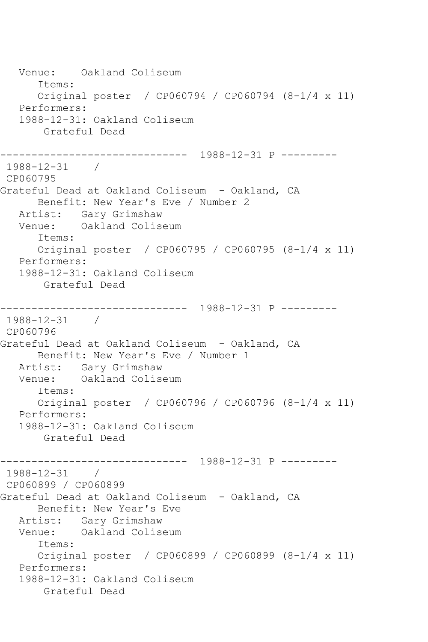Venue: Oakland Coliseum Items: Original poster / CP060794 / CP060794 (8-1/4 x 11) Performers: 1988-12-31: Oakland Coliseum Grateful Dead ------------------------------ 1988-12-31 P --------- 1988-12-31 / CP060795 Grateful Dead at Oakland Coliseum - Oakland, CA Benefit: New Year's Eve / Number 2 Artist: Gary Grimshaw Venue: Oakland Coliseum Items: Original poster / CP060795 / CP060795 (8-1/4 x 11) Performers: 1988-12-31: Oakland Coliseum Grateful Dead ------------------------------ 1988-12-31 P --------- 1988-12-31 / CP060796 Grateful Dead at Oakland Coliseum - Oakland, CA Benefit: New Year's Eve / Number 1 Artist: Gary Grimshaw Venue: Oakland Coliseum Items: Original poster / CP060796 / CP060796 (8-1/4 x 11) Performers: 1988-12-31: Oakland Coliseum Grateful Dead ------------------------------ 1988-12-31 P --------- 1988-12-31 / CP060899 / CP060899 Grateful Dead at Oakland Coliseum - Oakland, CA Benefit: New Year's Eve Artist: Gary Grimshaw<br>Venue: Oakland Colis Oakland Coliseum Items: Original poster / CP060899 / CP060899 (8-1/4 x 11) Performers: 1988-12-31: Oakland Coliseum Grateful Dead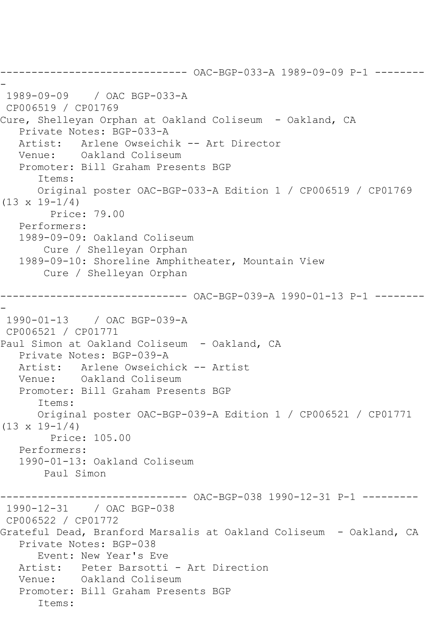```
------------------------------ OAC-BGP-033-A 1989-09-09 P-1 --------
-
1989-09-09 / OAC BGP-033-A
CP006519 / CP01769
Cure, Shelleyan Orphan at Oakland Coliseum - Oakland, CA
   Private Notes: BGP-033-A
   Artist: Arlene Owseichik -- Art Director
   Venue: Oakland Coliseum
   Promoter: Bill Graham Presents BGP
       Items:
      Original poster OAC-BGP-033-A Edition 1 / CP006519 / CP01769 
(13 \times 19 - 1/4) Price: 79.00
   Performers:
   1989-09-09: Oakland Coliseum
        Cure / Shelleyan Orphan
   1989-09-10: Shoreline Amphitheater, Mountain View
        Cure / Shelleyan Orphan
       ------------------------------ OAC-BGP-039-A 1990-01-13 P-1 --------
-
1990-01-13 / OAC BGP-039-A
CP006521 / CP01771
Paul Simon at Oakland Coliseum - Oakland, CA
   Private Notes: BGP-039-A
   Artist: Arlene Owseichick -- Artist
   Venue: Oakland Coliseum
   Promoter: Bill Graham Presents BGP
       Items:
      Original poster OAC-BGP-039-A Edition 1 / CP006521 / CP01771 
(13 \times 19 - 1/4) Price: 105.00
   Performers:
   1990-01-13: Oakland Coliseum
        Paul Simon
------------------------------ OAC-BGP-038 1990-12-31 P-1 ---------
1990-12-31 / OAC BGP-038
CP006522 / CP01772
Grateful Dead, Branford Marsalis at Oakland Coliseum - Oakland, CA
   Private Notes: BGP-038
      Event: New Year's Eve
   Artist: Peter Barsotti - Art Direction
   Venue: Oakland Coliseum
   Promoter: Bill Graham Presents BGP
       Items:
```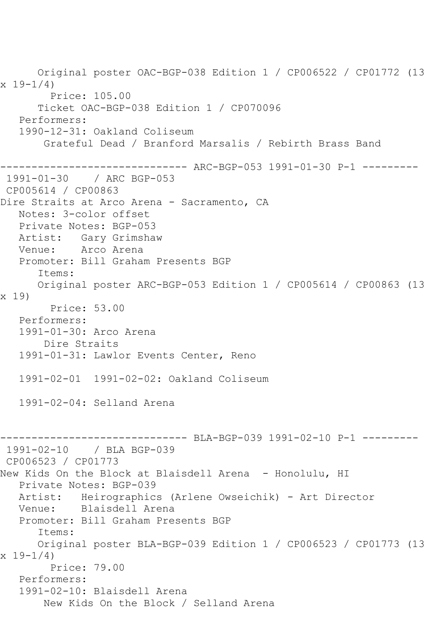Original poster OAC-BGP-038 Edition 1 / CP006522 / CP01772 (13  $x 19 - 1/4$  Price: 105.00 Ticket OAC-BGP-038 Edition 1 / CP070096 Performers: 1990-12-31: Oakland Coliseum Grateful Dead / Branford Marsalis / Rebirth Brass Band ------------------------------ ARC-BGP-053 1991-01-30 P-1 --------- 1991-01-30 / ARC BGP-053 CP005614 / CP00863 Dire Straits at Arco Arena - Sacramento, CA Notes: 3-color offset Private Notes: BGP-053 Artist: Gary Grimshaw Venue: Arco Arena Promoter: Bill Graham Presents BGP Items: Original poster ARC-BGP-053 Edition 1 / CP005614 / CP00863 (13 x 19) Price: 53.00 Performers: 1991-01-30: Arco Arena Dire Straits 1991-01-31: Lawlor Events Center, Reno 1991-02-01 1991-02-02: Oakland Coliseum 1991-02-04: Selland Arena ------------------------------ BLA-BGP-039 1991-02-10 P-1 --------- 1991-02-10 / BLA BGP-039 CP006523 / CP01773 New Kids On the Block at Blaisdell Arena - Honolulu, HI Private Notes: BGP-039 Artist: Heirographics (Arlene Owseichik) - Art Director Venue: Blaisdell Arena Promoter: Bill Graham Presents BGP Items: Original poster BLA-BGP-039 Edition 1 / CP006523 / CP01773 (13  $x 19 - 1/4$  Price: 79.00 Performers: 1991-02-10: Blaisdell Arena New Kids On the Block / Selland Arena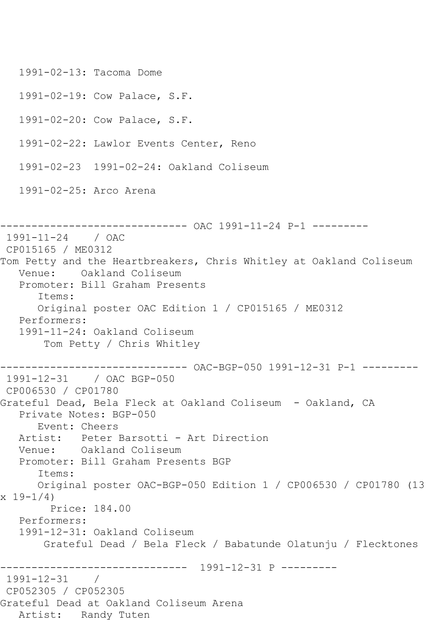1991-02-13: Tacoma Dome 1991-02-19: Cow Palace, S.F. 1991-02-20: Cow Palace, S.F. 1991-02-22: Lawlor Events Center, Reno 1991-02-23 1991-02-24: Oakland Coliseum 1991-02-25: Arco Arena ------------------------------ OAC 1991-11-24 P-1 --------- 1991-11-24 / OAC CP015165 / ME0312 Tom Petty and the Heartbreakers, Chris Whitley at Oakland Coliseum Venue: Oakland Coliseum Promoter: Bill Graham Presents Items: Original poster OAC Edition 1 / CP015165 / ME0312 Performers: 1991-11-24: Oakland Coliseum Tom Petty / Chris Whitley ------------------------------ OAC-BGP-050 1991-12-31 P-1 --------- 1991-12-31 / OAC BGP-050 CP006530 / CP01780 Grateful Dead, Bela Fleck at Oakland Coliseum - Oakland, CA Private Notes: BGP-050 Event: Cheers Artist: Peter Barsotti - Art Direction Venue: Oakland Coliseum Promoter: Bill Graham Presents BGP Items: Original poster OAC-BGP-050 Edition 1 / CP006530 / CP01780 (13  $x 19 - 1/4$  Price: 184.00 Performers: 1991-12-31: Oakland Coliseum Grateful Dead / Bela Fleck / Babatunde Olatunju / Flecktones ------------------------------ 1991-12-31 P --------- 1991-12-31 / CP052305 / CP052305 Grateful Dead at Oakland Coliseum Arena Artist: Randy Tuten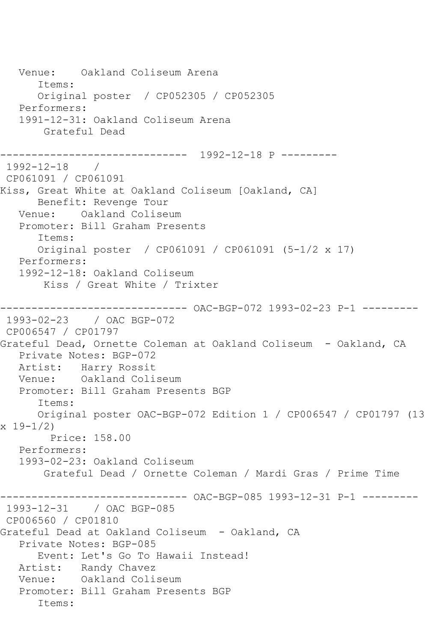```
 Venue: Oakland Coliseum Arena
      Items:
      Original poster / CP052305 / CP052305
   Performers:
   1991-12-31: Oakland Coliseum Arena
       Grateful Dead
------------------------------ 1992-12-18 P ---------
1992-12-18 / 
CP061091 / CP061091
Kiss, Great White at Oakland Coliseum [Oakland, CA]
      Benefit: Revenge Tour
   Venue: Oakland Coliseum
   Promoter: Bill Graham Presents
      Items:
      Original poster / CP061091 / CP061091 (5-1/2 x 17)
   Performers:
   1992-12-18: Oakland Coliseum
       Kiss / Great White / Trixter
------------------------------ OAC-BGP-072 1993-02-23 P-1 ---------
1993-02-23 / OAC BGP-072
CP006547 / CP01797
Grateful Dead, Ornette Coleman at Oakland Coliseum - Oakland, CA
   Private Notes: BGP-072
   Artist: Harry Rossit
   Venue: Oakland Coliseum
   Promoter: Bill Graham Presents BGP
      Items:
      Original poster OAC-BGP-072 Edition 1 / CP006547 / CP01797 (13 
x 19-1/2)
        Price: 158.00
   Performers:
   1993-02-23: Oakland Coliseum
       Grateful Dead / Ornette Coleman / Mardi Gras / Prime Time
------------------------------ OAC-BGP-085 1993-12-31 P-1 ---------
1993-12-31 / OAC BGP-085
CP006560 / CP01810
Grateful Dead at Oakland Coliseum - Oakland, CA
   Private Notes: BGP-085
      Event: Let's Go To Hawaii Instead!
   Artist: Randy Chavez
   Venue: Oakland Coliseum
   Promoter: Bill Graham Presents BGP
      Items:
```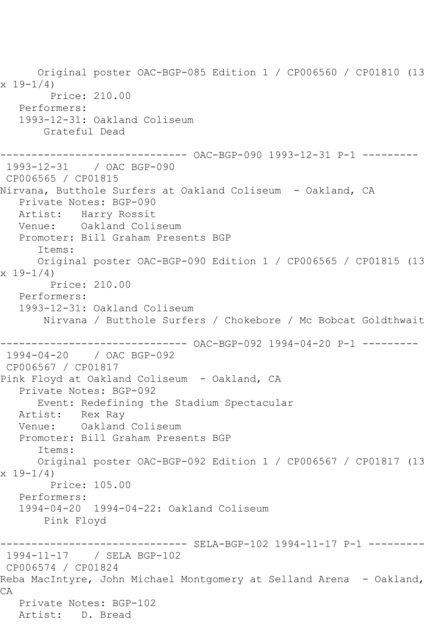Original poster OAC-BGP-085 Edition 1 / CP006560 / CP01810 (13  $x 19 - 1/4$  Price: 210.00 Performers: 1993-12-31: Oakland Coliseum Grateful Dead ------------------------------ OAC-BGP-090 1993-12-31 P-1 --------- 1993-12-31 / OAC BGP-090 CP006565 / CP01815 Nirvana, Butthole Surfers at Oakland Coliseum - Oakland, CA Private Notes: BGP-090 Artist: Harry Rossit Venue: Oakland Coliseum Promoter: Bill Graham Presents BGP Items: Original poster OAC-BGP-090 Edition 1 / CP006565 / CP01815 (13 x 19-1/4) Price: 210.00 Performers: 1993-12-31: Oakland Coliseum Nirvana / Butthole Surfers / Chokebore / Mc Bobcat Goldthwait ------------------------------ OAC-BGP-092 1994-04-20 P-1 --------- 1994-04-20 / OAC BGP-092 CP006567 / CP01817 Pink Floyd at Oakland Coliseum - Oakland, CA Private Notes: BGP-092 Event: Redefining the Stadium Spectacular Artist: Rex Ray Venue: Oakland Coliseum Promoter: Bill Graham Presents BGP Items: Original poster OAC-BGP-092 Edition 1 / CP006567 / CP01817 (13 x 19-1/4) Price: 105.00 Performers: 1994-04-20 1994-04-22: Oakland Coliseum Pink Floyd ------- SELA-BGP-102 1994-11-17 P-1 ---------1994-11-17 / SELA BGP-102 CP006574 / CP01824 Reba MacIntyre, John Michael Montgomery at Selland Arena - Oakland, CA Private Notes: BGP-102 Artist: D. Bread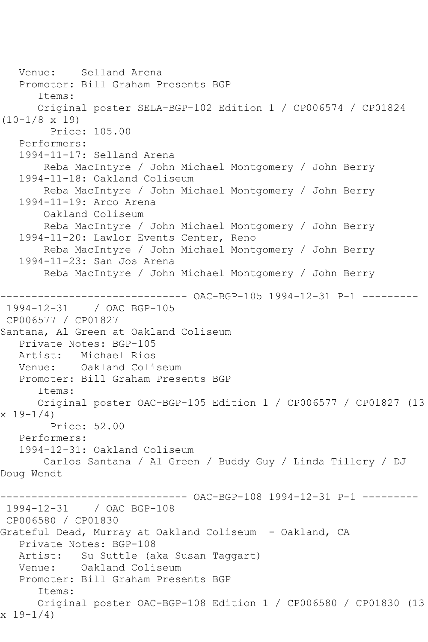Venue: Selland Arena Promoter: Bill Graham Presents BGP Items: Original poster SELA-BGP-102 Edition 1 / CP006574 / CP01824 (10-1/8 x 19) Price: 105.00 Performers: 1994-11-17: Selland Arena Reba MacIntyre / John Michael Montgomery / John Berry 1994-11-18: Oakland Coliseum Reba MacIntyre / John Michael Montgomery / John Berry 1994-11-19: Arco Arena Oakland Coliseum Reba MacIntyre / John Michael Montgomery / John Berry 1994-11-20: Lawlor Events Center, Reno Reba MacIntyre / John Michael Montgomery / John Berry 1994-11-23: San Jos Arena Reba MacIntyre / John Michael Montgomery / John Berry ------------------------------ OAC-BGP-105 1994-12-31 P-1 --------- 1994-12-31 / OAC BGP-105 CP006577 / CP01827 Santana, Al Green at Oakland Coliseum Private Notes: BGP-105 Artist: Michael Rios<br>Venue: Oakland Coli Oakland Coliseum Promoter: Bill Graham Presents BGP Items: Original poster OAC-BGP-105 Edition 1 / CP006577 / CP01827 (13  $x 19-1/4$  Price: 52.00 Performers: 1994-12-31: Oakland Coliseum Carlos Santana / Al Green / Buddy Guy / Linda Tillery / DJ Doug Wendt ------------------------------ OAC-BGP-108 1994-12-31 P-1 --------- 1994-12-31 / OAC BGP-108 CP006580 / CP01830 Grateful Dead, Murray at Oakland Coliseum - Oakland, CA Private Notes: BGP-108 Artist: Su Suttle (aka Susan Taggart) Venue: Oakland Coliseum Promoter: Bill Graham Presents BGP Items: Original poster OAC-BGP-108 Edition 1 / CP006580 / CP01830 (13 x 19-1/4)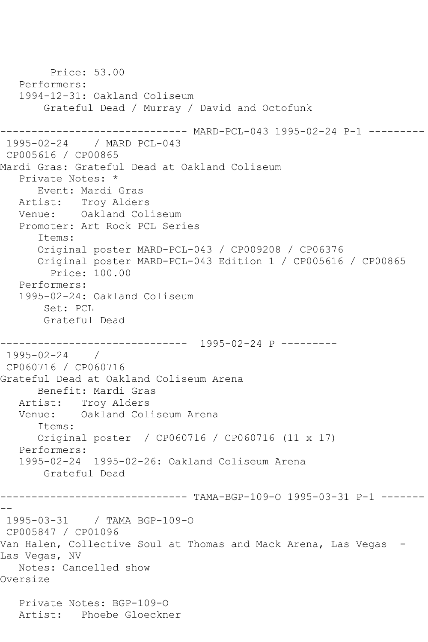```
 Price: 53.00
   Performers:
   1994-12-31: Oakland Coliseum
       Grateful Dead / Murray / David and Octofunk
         ------------------------------ MARD-PCL-043 1995-02-24 P-1 ---------
1995-02-24 / MARD PCL-043
CP005616 / CP00865
Mardi Gras: Grateful Dead at Oakland Coliseum
   Private Notes: *
      Event: Mardi Gras
   Artist: Troy Alders
   Venue: Oakland Coliseum
   Promoter: Art Rock PCL Series
      Items:
      Original poster MARD-PCL-043 / CP009208 / CP06376
      Original poster MARD-PCL-043 Edition 1 / CP005616 / CP00865
        Price: 100.00
   Performers:
   1995-02-24: Oakland Coliseum
       Set: PCL
       Grateful Dead
------------------------------ 1995-02-24 P ---------
1995-02-24 / 
CP060716 / CP060716
Grateful Dead at Oakland Coliseum Arena
      Benefit: Mardi Gras
   Artist: Troy Alders
   Venue: Oakland Coliseum Arena
      Items:
      Original poster / CP060716 / CP060716 (11 x 17)
   Performers:
   1995-02-24 1995-02-26: Oakland Coliseum Arena
       Grateful Dead
------------------------------ TAMA-BGP-109-O 1995-03-31 P-1 -------
--
1995-03-31 / TAMA BGP-109-O
CP005847 / CP01096
Van Halen, Collective Soul at Thomas and Mack Arena, Las Vegas -
Las Vegas, NV
   Notes: Cancelled show
Oversize
   Private Notes: BGP-109-O
   Artist: Phoebe Gloeckner
```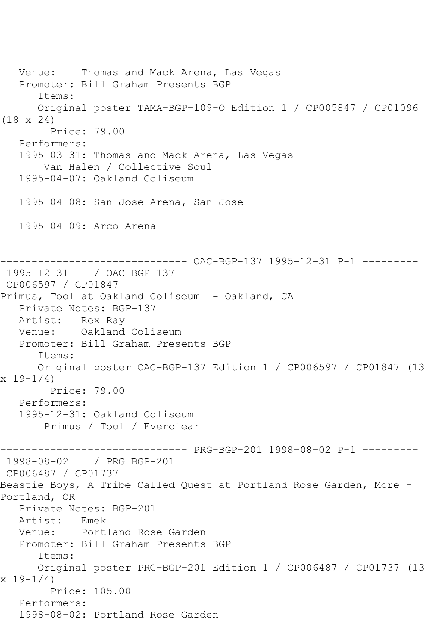Venue: Thomas and Mack Arena, Las Vegas Promoter: Bill Graham Presents BGP Items: Original poster TAMA-BGP-109-O Edition 1 / CP005847 / CP01096 (18 x 24) Price: 79.00 Performers: 1995-03-31: Thomas and Mack Arena, Las Vegas Van Halen / Collective Soul 1995-04-07: Oakland Coliseum 1995-04-08: San Jose Arena, San Jose 1995-04-09: Arco Arena ------------------------------ OAC-BGP-137 1995-12-31 P-1 --------- 1995-12-31 / OAC BGP-137 CP006597 / CP01847 Primus, Tool at Oakland Coliseum - Oakland, CA Private Notes: BGP-137 Artist: Rex Ray Venue: Oakland Coliseum Promoter: Bill Graham Presents BGP Items: Original poster OAC-BGP-137 Edition 1 / CP006597 / CP01847 (13  $x 19 - 1/4$  Price: 79.00 Performers: 1995-12-31: Oakland Coliseum Primus / Tool / Everclear ------------------------------ PRG-BGP-201 1998-08-02 P-1 --------- 1998-08-02 / PRG BGP-201 CP006487 / CP01737 Beastie Boys, A Tribe Called Quest at Portland Rose Garden, More - Portland, OR Private Notes: BGP-201 Artist: Emek<br>Venue: Portl Portland Rose Garden Promoter: Bill Graham Presents BGP Items: Original poster PRG-BGP-201 Edition 1 / CP006487 / CP01737 (13  $x 19 - 1/4$  Price: 105.00 Performers: 1998-08-02: Portland Rose Garden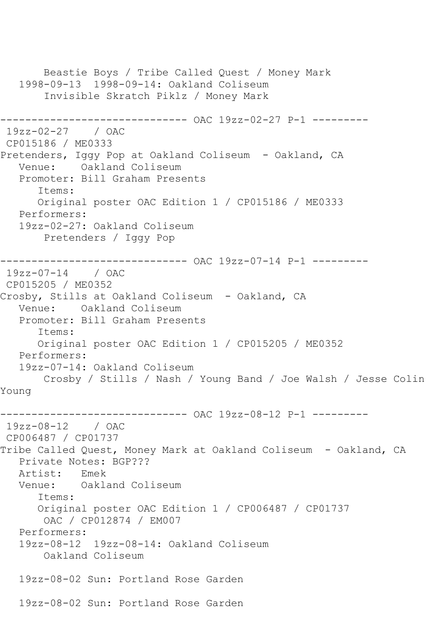```
 Beastie Boys / Tribe Called Quest / Money Mark
   1998-09-13 1998-09-14: Oakland Coliseum
        Invisible Skratch Piklz / Money Mark
------------------------------ OAC 19zz-02-27 P-1 ---------
19zz-02-27 / OAC 
CP015186 / ME0333
Pretenders, Iggy Pop at Oakland Coliseum - Oakland, CA
   Venue: Oakland Coliseum
   Promoter: Bill Graham Presents
       Items:
      Original poster OAC Edition 1 / CP015186 / ME0333
   Performers:
   19zz-02-27: Oakland Coliseum
        Pretenders / Iggy Pop
------------------------------ OAC 19zz-07-14 P-1 ---------
19zz-07-14 / OAC 
CP015205 / ME0352
Crosby, Stills at Oakland Coliseum - Oakland, CA
   Venue: Oakland Coliseum
   Promoter: Bill Graham Presents
       Items:
      Original poster OAC Edition 1 / CP015205 / ME0352
   Performers:
   19zz-07-14: Oakland Coliseum
       Crosby / Stills / Nash / Young Band / Joe Walsh / Jesse Colin 
Young
------------------------------ OAC 19zz-08-12 P-1 ---------
19zz-08-12 / OAC 
CP006487 / CP01737
Tribe Called Quest, Money Mark at Oakland Coliseum - Oakland, CA
  Private Notes: BGP???<br>Artist: Fmek
   Artist: Emek
   Venue: Oakland Coliseum
       Items:
      Original poster OAC Edition 1 / CP006487 / CP01737
       OAC / CP012874 / EM007
   Performers:
   19zz-08-12 19zz-08-14: Oakland Coliseum
        Oakland Coliseum
   19zz-08-02 Sun: Portland Rose Garden
   19zz-08-02 Sun: Portland Rose Garden
```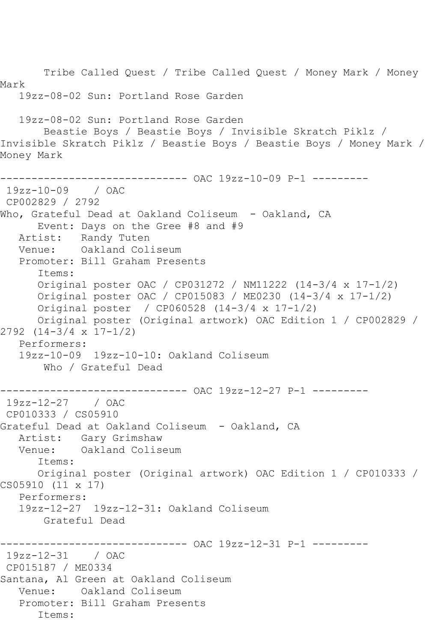Tribe Called Quest / Tribe Called Quest / Money Mark / Money Mark 19zz-08-02 Sun: Portland Rose Garden 19zz-08-02 Sun: Portland Rose Garden Beastie Boys / Beastie Boys / Invisible Skratch Piklz / Invisible Skratch Piklz / Beastie Boys / Beastie Boys / Money Mark / Money Mark ------------------------------ OAC 19zz-10-09 P-1 --------- 19zz-10-09 / OAC CP002829 / 2792 Who, Grateful Dead at Oakland Coliseum - Oakland, CA Event: Days on the Gree #8 and #9 Artist: Randy Tuten Venue: Oakland Coliseum Promoter: Bill Graham Presents Items: Original poster OAC / CP031272 / NM11222 (14-3/4 x 17-1/2) Original poster OAC / CP015083 / ME0230 (14-3/4 x 17-1/2) Original poster / CP060528 (14-3/4 x 17-1/2) Original poster (Original artwork) OAC Edition 1 / CP002829 / 2792 (14-3/4 x 17-1/2) Performers: 19zz-10-09 19zz-10-10: Oakland Coliseum Who / Grateful Dead ------------- OAC 19zz-12-27 P-1 ---------19zz-12-27 / OAC CP010333 / CS05910 Grateful Dead at Oakland Coliseum - Oakland, CA Artist: Gary Grimshaw Venue: Oakland Coliseum Items: Original poster (Original artwork) OAC Edition 1 / CP010333 / CS05910 (11 x 17) Performers: 19zz-12-27 19zz-12-31: Oakland Coliseum Grateful Dead ----------- OAC 19zz-12-31 P-1 ----------19zz-12-31 / OAC CP015187 / ME0334 Santana, Al Green at Oakland Coliseum Venue: Oakland Coliseum Promoter: Bill Graham Presents Items: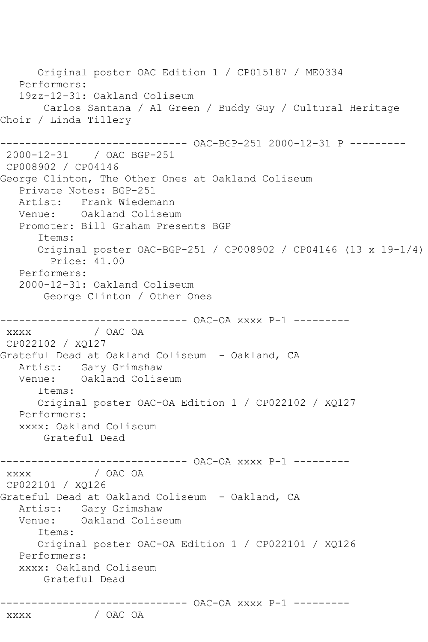Original poster OAC Edition 1 / CP015187 / ME0334 Performers: 19zz-12-31: Oakland Coliseum Carlos Santana / Al Green / Buddy Guy / Cultural Heritage Choir / Linda Tillery ------------------------------ OAC-BGP-251 2000-12-31 P --------- 2000-12-31 / OAC BGP-251 CP008902 / CP04146 George Clinton, The Other Ones at Oakland Coliseum Private Notes: BGP-251 Artist: Frank Wiedemann Venue: Oakland Coliseum Promoter: Bill Graham Presents BGP Items: Original poster OAC-BGP-251 / CP008902 / CP04146 (13 x 19-1/4) Price: 41.00 Performers: 2000-12-31: Oakland Coliseum George Clinton / Other Ones \_\_\_\_\_\_\_\_\_\_\_\_\_\_\_ ----------- OAC-OA xxxx P-1 --------xxxx / OAC OA CP022102 / XQ127 Grateful Dead at Oakland Coliseum - Oakland, CA Artist: Gary Grimshaw Venue: Oakland Coliseum Items: Original poster OAC-OA Edition 1 / CP022102 / XQ127 Performers: xxxx: Oakland Coliseum Grateful Dead ------------------------------ OAC-OA xxxx P-1 ---------  $XXXX$ CP022101 / XQ126 Grateful Dead at Oakland Coliseum - Oakland, CA Artist: Gary Grimshaw Venue: Oakland Coliseum Items: Original poster OAC-OA Edition 1 / CP022101 / XQ126 Performers: xxxx: Oakland Coliseum Grateful Dead ------------------------------ OAC-OA xxxx P-1 -------- xxxx / OAC OA